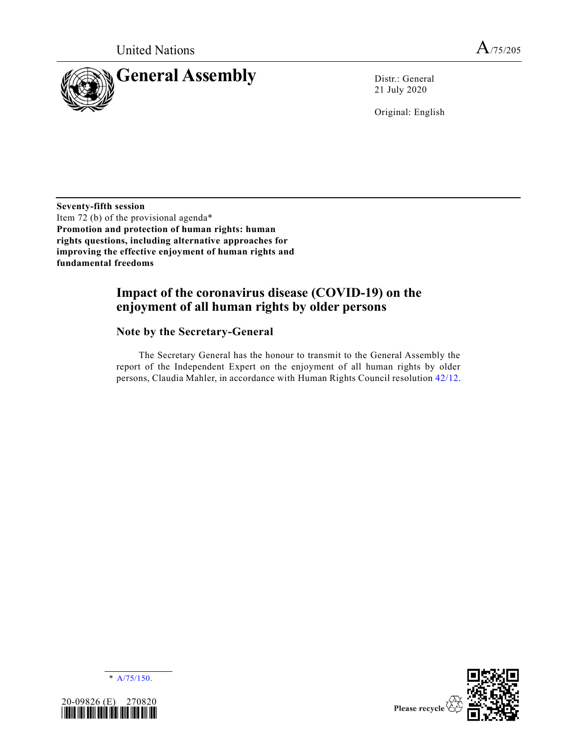

21 July 2020

Original: English

**Seventy-fifth session** Item 72 (b) of the provisional agenda\* **Promotion and protection of human rights: human rights questions, including alternative approaches for improving the effective enjoyment of human rights and fundamental freedoms**

# **Impact of the coronavirus disease (COVID-19) on the enjoyment of all human rights by older persons**

# **Note by the Secretary-General**

The Secretary General has the honour to transmit to the General Assembly the report of the Independent Expert on the enjoyment of all human rights by older persons, Claudia Mahler, in accordance with Human Rights Council resolution [42/12.](https://undocs.org/en/A/HRC/RES/42/12)





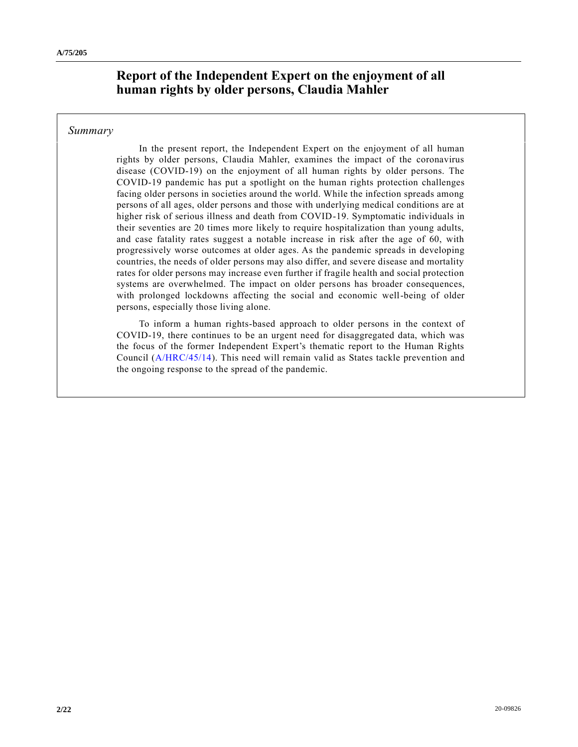# **Report of the Independent Expert on the enjoyment of all human rights by older persons, Claudia Mahler**

# *Summary*

In the present report, the Independent Expert on the enjoyment of all human rights by older persons, Claudia Mahler, examines the impact of the coronavirus disease (COVID-19) on the enjoyment of all human rights by older persons. The COVID-19 pandemic has put a spotlight on the human rights protection challenges facing older persons in societies around the world. While the infection spreads among persons of all ages, older persons and those with underlying medical conditions are at higher risk of serious illness and death from COVID-19. Symptomatic individuals in their seventies are 20 times more likely to require hospitalization than young adults, and case fatality rates suggest a notable increase in risk after the age of 60, with progressively worse outcomes at older ages. As the pandemic spreads in developing countries, the needs of older persons may also differ, and severe disease and mortality rates for older persons may increase even further if fragile health and social protection systems are overwhelmed. The impact on older persons has broader consequences, with prolonged lockdowns affecting the social and economic well-being of older persons, especially those living alone.

To inform a human rights-based approach to older persons in the context of COVID-19, there continues to be an urgent need for disaggregated data, which was the focus of the former Independent Expert's thematic report to the Human Rights Council [\(A/HRC/45/14\)](https://undocs.org/en/A/HRC/45/14). This need will remain valid as States tackle prevention and the ongoing response to the spread of the pandemic.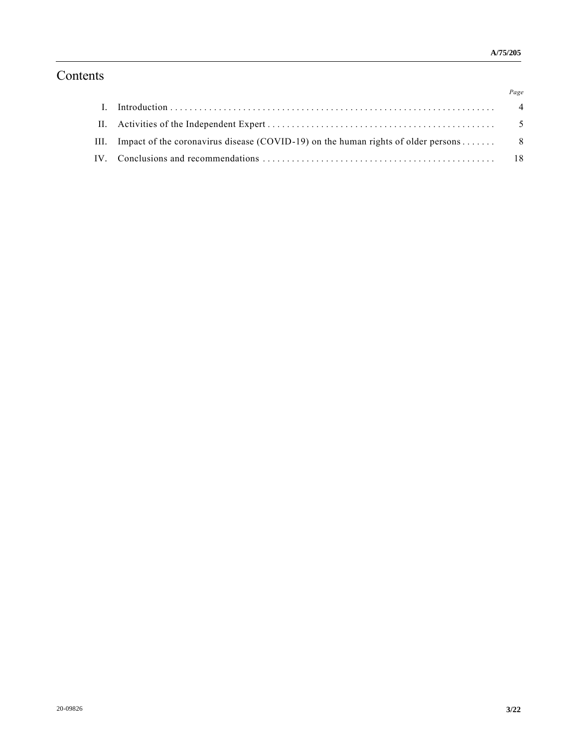# Contents

|                                                                                           | Page |
|-------------------------------------------------------------------------------------------|------|
|                                                                                           |      |
|                                                                                           |      |
| III. Impact of the coronavirus disease (COVID-19) on the human rights of older persons  8 |      |
|                                                                                           |      |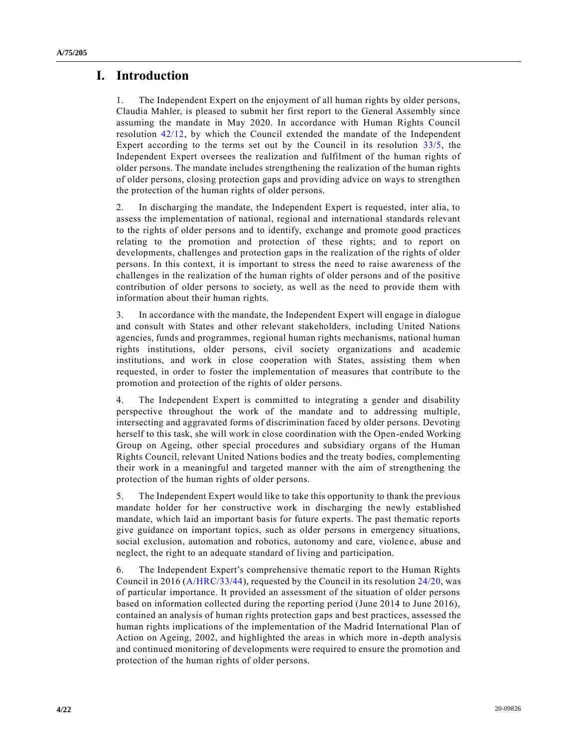# **I. Introduction**

1. The Independent Expert on the enjoyment of all human rights by older persons, Claudia Mahler, is pleased to submit her first report to the General Assembly since assuming the mandate in May 2020. In accordance with Human Rights Council resolution [42/12,](https://undocs.org/en/A/HRC/RES/42/12) by which the Council extended the mandate of the Independent Expert according to the terms set out by the Council in its resolution [33/5,](https://undocs.org/en/A/HRC/RES/33/5) the Independent Expert oversees the realization and fulfilment of the human rights of older persons. The mandate includes strengthening the realization of the human rights of older persons, closing protection gaps and providing advice on ways to strengthen the protection of the human rights of older persons.

2. In discharging the mandate, the Independent Expert is requested, inter alia, to assess the implementation of national, regional and international standards relevant to the rights of older persons and to identify, exchange and promote good practices relating to the promotion and protection of these rights; and to report on developments, challenges and protection gaps in the realization of the rights of older persons. In this context, it is important to stress the need to raise awareness of the challenges in the realization of the human rights of older persons and of the positive contribution of older persons to society, as well as the need to provide them with information about their human rights.

3. In accordance with the mandate, the Independent Expert will engage in dialogue and consult with States and other relevant stakeholders, including United Nations agencies, funds and programmes, regional human rights mechanisms, national human rights institutions, older persons, civil society organizations and academic institutions, and work in close cooperation with States, assisting them when requested, in order to foster the implementation of measures that contribute to the promotion and protection of the rights of older persons.

4. The Independent Expert is committed to integrating a gender and disability perspective throughout the work of the mandate and to addressing multiple, intersecting and aggravated forms of discrimination faced by older persons. Devoting herself to this task, she will work in close coordination with the Open-ended Working Group on Ageing, other special procedures and subsidiary organs of the Human Rights Council, relevant United Nations bodies and the treaty bodies, complementing their work in a meaningful and targeted manner with the aim of strengthening the protection of the human rights of older persons.

5. The Independent Expert would like to take this opportunity to thank the previous mandate holder for her constructive work in discharging the newly established mandate, which laid an important basis for future experts. The past thematic reports give guidance on important topics, such as older persons in emergency situations, social exclusion, automation and robotics, autonomy and care, violence, abuse and neglect, the right to an adequate standard of living and participation.

6. The Independent Expert's comprehensive thematic report to the Human Rights Council in 2016 [\(A/HRC/33/44\)](https://undocs.org/en/A/HRC/33/44), requested by the Council in its resolution [24/20,](https://undocs.org/en/A/HRC/RES/24/20) was of particular importance. It provided an assessment of the situation of older persons based on information collected during the reporting period (June 2014 to June 2016), contained an analysis of human rights protection gaps and best practices, assessed the human rights implications of the implementation of the Madrid International Plan of Action on Ageing, 2002, and highlighted the areas in which more in-depth analysis and continued monitoring of developments were required to ensure the promotion and protection of the human rights of older persons.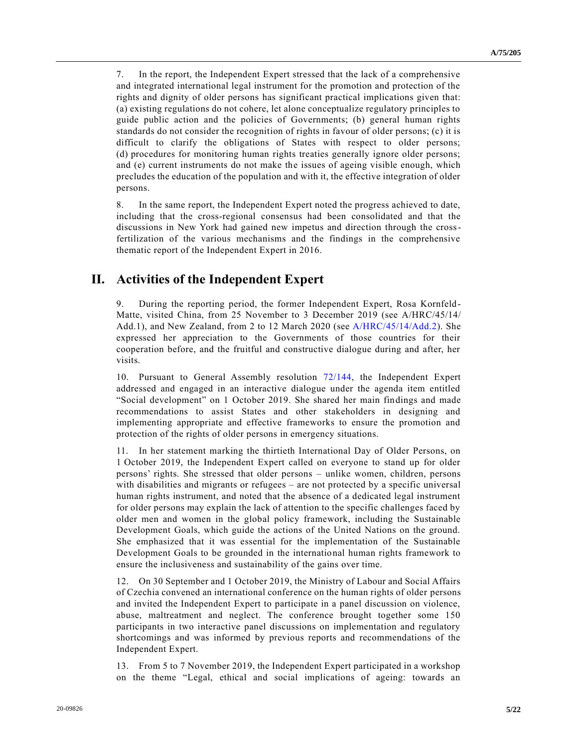7. In the report, the Independent Expert stressed that the lack of a comprehensive and integrated international legal instrument for the promotion and protection of the rights and dignity of older persons has significant practical implications given that: (a) existing regulations do not cohere, let alone conceptualize regulatory principles to guide public action and the policies of Governments; (b) general human rights standards do not consider the recognition of rights in favour of older persons; (c) it is difficult to clarify the obligations of States with respect to older persons; (d) procedures for monitoring human rights treaties generally ignore older persons; and (e) current instruments do not make the issues of ageing visible enough, which precludes the education of the population and with it, the effective integration of older persons.

8. In the same report, the Independent Expert noted the progress achieved to date, including that the cross-regional consensus had been consolidated and that the discussions in New York had gained new impetus and direction through the crossfertilization of the various mechanisms and the findings in the comprehensive thematic report of the Independent Expert in 2016.

# **II. Activities of the Independent Expert**

9. During the reporting period, the former Independent Expert, Rosa Kornfeld-Matte, visited China, from 25 November to 3 December 2019 (see A/HRC/45/14/ Add.1), and New Zealand, from 2 to 12 March 2020 (see [A/HRC/45/14/Add.2\)](https://undocs.org/en/A/HRC/45/14/Add.2). She expressed her appreciation to the Governments of those countries for their cooperation before, and the fruitful and constructive dialogue during and after, her visits.

10. Pursuant to General Assembly resolution [72/144,](https://undocs.org/en/A/RES/72/144) the Independent Expert addressed and engaged in an interactive dialogue under the agenda item entitled "Social development" on 1 October 2019. She shared her main findings and made recommendations to assist States and other stakeholders in designing and implementing appropriate and effective frameworks to ensure the promotion and protection of the rights of older persons in emergency situations.

11. In her statement marking the thirtieth International Day of Older Persons, on 1 October 2019, the Independent Expert called on everyone to stand up for older persons' rights. She stressed that older persons – unlike women, children, persons with disabilities and migrants or refugees – are not protected by a specific universal human rights instrument, and noted that the absence of a dedicated legal instrument for older persons may explain the lack of attention to the specific challenges faced by older men and women in the global policy framework, including the Sustainable Development Goals, which guide the actions of the United Nations on the ground. She emphasized that it was essential for the implementation of the Sustainable Development Goals to be grounded in the international human rights framework to ensure the inclusiveness and sustainability of the gains over time.

12. On 30 September and 1 October 2019, the Ministry of Labour and Social Affairs of Czechia convened an international conference on the human rights of older persons and invited the Independent Expert to participate in a panel discussion on violence, abuse, maltreatment and neglect. The conference brought together some 150 participants in two interactive panel discussions on implementation and regulatory shortcomings and was informed by previous reports and recommendations of the Independent Expert.

13. From 5 to 7 November 2019, the Independent Expert participated in a workshop on the theme "Legal, ethical and social implications of ageing: towards an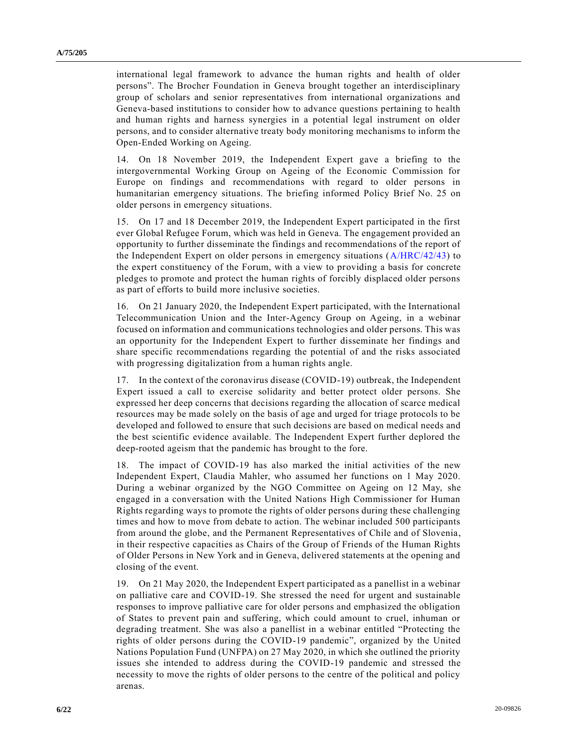international legal framework to advance the human rights and health of older persons". The Brocher Foundation in Geneva brought together an interdisciplinary group of scholars and senior representatives from international organizations and Geneva-based institutions to consider how to advance questions pertaining to health and human rights and harness synergies in a potential legal instrument on older persons, and to consider alternative treaty body monitoring mechanisms to inform the Open-Ended Working on Ageing.

14. On 18 November 2019, the Independent Expert gave a briefing to the intergovernmental Working Group on Ageing of the Economic Commission for Europe on findings and recommendations with regard to older persons in humanitarian emergency situations. The briefing informed Policy Brief No. 25 on older persons in emergency situations.

15. On 17 and 18 December 2019, the Independent Expert participated in the first ever Global Refugee Forum, which was held in Geneva. The engagement provided an opportunity to further disseminate the findings and recommendations of the report of the Independent Expert on older persons in emergency situations [\(A/HRC/42/43\)](https://undocs.org/en/A/HRC/42/43) to the expert constituency of the Forum, with a view to providing a basis for concrete pledges to promote and protect the human rights of forcibly displaced older persons as part of efforts to build more inclusive societies.

16. On 21 January 2020, the Independent Expert participated, with the International Telecommunication Union and the Inter-Agency Group on Ageing, in a webinar focused on information and communications technologies and older persons. This was an opportunity for the Independent Expert to further disseminate her findings and share specific recommendations regarding the potential of and the risks associated with progressing digitalization from a human rights angle.

17. In the context of the coronavirus disease (COVID-19) outbreak, the Independent Expert issued a call to exercise solidarity and better protect older persons. She expressed her deep concerns that decisions regarding the allocation of scarce medical resources may be made solely on the basis of age and urged for triage protocols to be developed and followed to ensure that such decisions are based on medical needs and the best scientific evidence available. The Independent Expert further deplored the deep-rooted ageism that the pandemic has brought to the fore.

18. The impact of COVID-19 has also marked the initial activities of the new Independent Expert, Claudia Mahler, who assumed her functions on 1 May 2020. During a webinar organized by the NGO Committee on Ageing on 12 May, she engaged in a conversation with the United Nations High Commissioner for Human Rights regarding ways to promote the rights of older persons during these challenging times and how to move from debate to action. The webinar included 500 participants from around the globe, and the Permanent Representatives of Chile and of Slovenia, in their respective capacities as Chairs of the Group of Friends of the Human Rights of Older Persons in New York and in Geneva, delivered statements at the opening and closing of the event.

19. On 21 May 2020, the Independent Expert participated as a panellist in a webinar on palliative care and COVID-19. She stressed the need for urgent and sustainable responses to improve palliative care for older persons and emphasized the obligation of States to prevent pain and suffering, which could amount to cruel, inhuman or degrading treatment. She was also a panellist in a webinar entitled "Protecting the rights of older persons during the COVID-19 pandemic", organized by the United Nations Population Fund (UNFPA) on 27 May 2020, in which she outlined the priority issues she intended to address during the COVID-19 pandemic and stressed the necessity to move the rights of older persons to the centre of the political and policy arenas.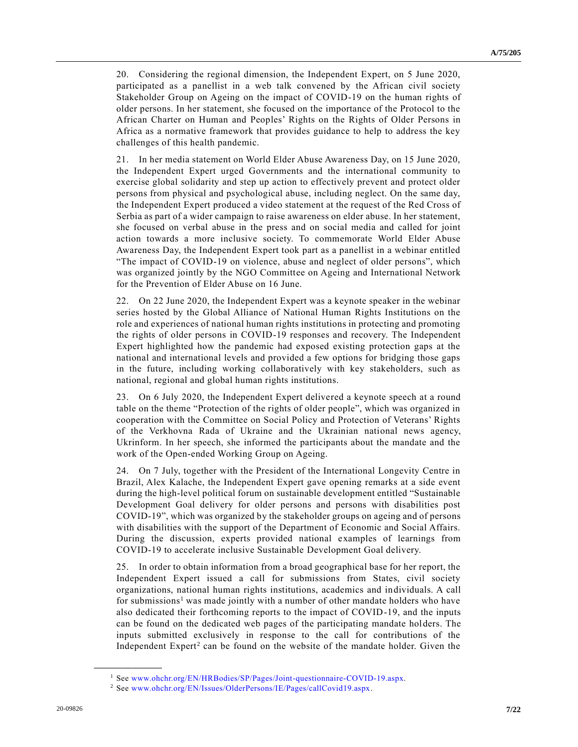20. Considering the regional dimension, the Independent Expert, on 5 June 2020, participated as a panellist in a web talk convened by the African civil society Stakeholder Group on Ageing on the impact of COVID-19 on the human rights of older persons. In her statement, she focused on the importance of the Protocol to the African Charter on Human and Peoples' Rights on the Rights of Older Persons in Africa as a normative framework that provides guidance to help to address the key challenges of this health pandemic.

21. In her media statement on World Elder Abuse Awareness Day, on 15 June 2020, the Independent Expert urged Governments and the international community to exercise global solidarity and step up action to effectively prevent and protect older persons from physical and psychological abuse, including neglect. On the same day, the Independent Expert produced a video statement at the request of the Red Cross of Serbia as part of a wider campaign to raise awareness on elder abuse. In her statement, she focused on verbal abuse in the press and on social media and called for joint action towards a more inclusive society. To commemorate World Elder Abuse Awareness Day, the Independent Expert took part as a panellist in a webinar entitled "The impact of COVID-19 on violence, abuse and neglect of older persons", which was organized jointly by the NGO Committee on Ageing and International Network for the Prevention of Elder Abuse on 16 June.

22. On 22 June 2020, the Independent Expert was a keynote speaker in the webinar series hosted by the Global Alliance of National Human Rights Institutions on the role and experiences of national human rights institutions in protecting and promoting the rights of older persons in COVID-19 responses and recovery. The Independent Expert highlighted how the pandemic had exposed existing protection gaps at the national and international levels and provided a few options for bridging those gaps in the future, including working collaboratively with key stakeholders, such as national, regional and global human rights institutions.

23. On 6 July 2020, the Independent Expert delivered a keynote speech at a round table on the theme "Protection of the rights of older people", which was organized in cooperation with the Committee on Social Policy and Protection of Veterans' Rights of the Verkhovna Rada of Ukraine and the Ukrainian national news agency, Ukrinform. In her speech, she informed the participants about the mandate and the work of the Open-ended Working Group on Ageing.

24. On 7 July, together with the President of the International Longevity Centre in Brazil, Alex Kalache, the Independent Expert gave opening remarks at a side event during the high-level political forum on sustainable development entitled "Sustainable Development Goal delivery for older persons and persons with disabilities post COVID-19", which was organized by the stakeholder groups on ageing and of persons with disabilities with the support of the Department of Economic and Social Affairs. During the discussion, experts provided national examples of learnings from COVID-19 to accelerate inclusive Sustainable Development Goal delivery.

25. In order to obtain information from a broad geographical base for her report, the Independent Expert issued a call for submissions from States, civil society organizations, national human rights institutions, academics and individuals. A call for submissions<sup>1</sup> was made jointly with a number of other mandate holders who have also dedicated their forthcoming reports to the impact of COVID-19, and the inputs can be found on the dedicated web pages of the participating mandate holders. The inputs submitted exclusively in response to the call for contributions of the Independent  $Expert<sup>2</sup>$  can be found on the website of the mandate holder. Given the

<sup>1</sup> See [www.ohchr.org/EN/HRBodies/SP/Pages/Joint-questionnaire-COVID-19.aspx.](http://www.ohchr.org/EN/HRBodies/SP/Pages/Joint-questionnaire-COVID-19.aspx)

<sup>2</sup> See [www.ohchr.org/EN/Issues/OlderPersons/IE/Pages/callCovid19.aspx.](http://www.ohchr.org/EN/Issues/OlderPersons/IE/Pages/callCovid19.aspx)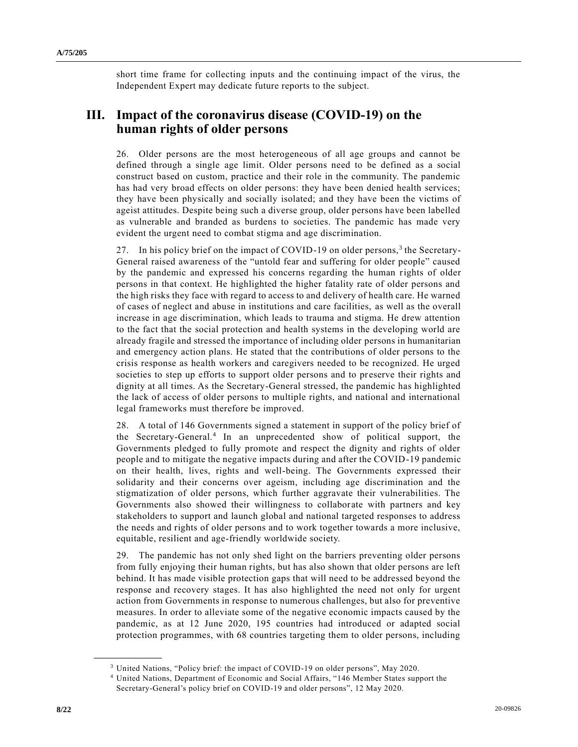short time frame for collecting inputs and the continuing impact of the virus, the Independent Expert may dedicate future reports to the subject.

# **III. Impact of the coronavirus disease (COVID-19) on the human rights of older persons**

26. Older persons are the most heterogeneous of all age groups and cannot be defined through a single age limit. Older persons need to be defined as a social construct based on custom, practice and their role in the community. The pandemic has had very broad effects on older persons: they have been denied health services; they have been physically and socially isolated; and they have been the victims of ageist attitudes. Despite being such a diverse group, older persons have been labelled as vulnerable and branded as burdens to societies. The pandemic has made very evident the urgent need to combat stigma and age discrimination.

27. In his policy brief on the impact of COVID-19 on older persons,<sup>3</sup> the Secretary-General raised awareness of the "untold fear and suffering for older people" caused by the pandemic and expressed his concerns regarding the human rights of older persons in that context. He highlighted the higher fatality rate of older persons and the high risks they face with regard to access to and delivery of health care. He warned of cases of neglect and abuse in institutions and care facilities, as well as the overall increase in age discrimination, which leads to trauma and stigma. He drew attention to the fact that the social protection and health systems in the developing world are already fragile and stressed the importance of including older persons in humanitarian and emergency action plans. He stated that the contributions of older persons to the crisis response as health workers and caregivers needed to be recognized. He urged societies to step up efforts to support older persons and to preserve their rights and dignity at all times. As the Secretary-General stressed, the pandemic has highlighted the lack of access of older persons to multiple rights, and national and international legal frameworks must therefore be improved.

28. A total of 146 Governments signed a statement in support of the policy brief of the Secretary-General.<sup>4</sup> In an unprecedented show of political support, the Governments pledged to fully promote and respect the dignity and rights of older people and to mitigate the negative impacts during and after the COVID-19 pandemic on their health, lives, rights and well-being. The Governments expressed their solidarity and their concerns over ageism, including age discrimination and the stigmatization of older persons, which further aggravate their vulnerabilities. The Governments also showed their willingness to collaborate with partners and key stakeholders to support and launch global and national targeted responses to address the needs and rights of older persons and to work together towards a more inclusive, equitable, resilient and age-friendly worldwide society.

29. The pandemic has not only shed light on the barriers preventing older persons from fully enjoying their human rights, but has also shown that older persons are left behind. It has made visible protection gaps that will need to be addressed beyond the response and recovery stages. It has also highlighted the need not only for urgent action from Governments in response to numerous challenges, but also for preventive measures. In order to alleviate some of the negative economic impacts caused by the pandemic, as at 12 June 2020, 195 countries had introduced or adapted social protection programmes, with 68 countries targeting them to older persons, including

<sup>3</sup> United Nations, "Policy brief: the impact of COVID-19 on older persons", May 2020.

<sup>4</sup> United Nations, Department of Economic and Social Affairs, "146 Member States support the Secretary-General's policy brief on COVID-19 and older persons", 12 May 2020.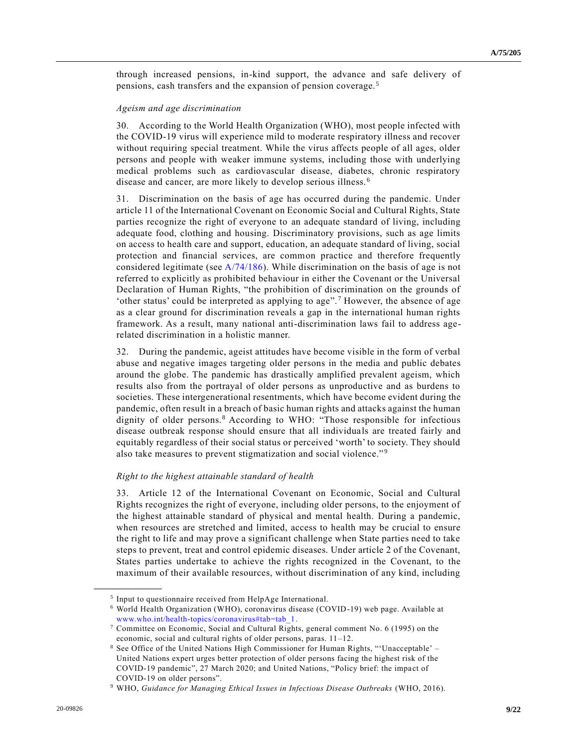through increased pensions, in-kind support, the advance and safe delivery of pensions, cash transfers and the expansion of pension coverage.<sup>5</sup>

#### *Ageism and age discrimination*

30. According to the World Health Organization (WHO), most people infected with the COVID-19 virus will experience mild to moderate respiratory illness and recover without requiring special treatment. While the virus affects people of all ages, older persons and people with weaker immune systems, including those with underlying medical problems such as cardiovascular disease, diabetes, chronic respiratory disease and cancer, are more likely to develop serious illness. <sup>6</sup>

31. Discrimination on the basis of age has occurred during the pandemic. Under article 11 of the International Covenant on Economic Social and Cultural Rights, State parties recognize the right of everyone to an adequate standard of living, including adequate food, clothing and housing. Discriminatory provisions, such as age limits on access to health care and support, education, an adequate standard of living, social protection and financial services, are common practice and therefore frequently considered legitimate (see [A/74/186\)](https://undocs.org/en/A/74/186). While discrimination on the basis of age is not referred to explicitly as prohibited behaviour in either the Covenant or the Universal Declaration of Human Rights, "the prohibition of discrimination on the grounds of 'other status' could be interpreted as applying to age". <sup>7</sup> However, the absence of age as a clear ground for discrimination reveals a gap in the international human rights framework. As a result, many national anti-discrimination laws fail to address agerelated discrimination in a holistic manner.

32. During the pandemic, ageist attitudes have become visible in the form of verbal abuse and negative images targeting older persons in the media and public debates around the globe. The pandemic has drastically amplified prevalent ageism, which results also from the portrayal of older persons as unproductive and as burdens to societies. These intergenerational resentments, which have become evident during the pandemic, often result in a breach of basic human rights and attacks against the human dignity of older persons.<sup>8</sup> According to WHO: "Those responsible for infectious disease outbreak response should ensure that all individuals are treated fairly and equitably regardless of their social status or perceived 'worth' to society. They should also take measures to prevent stigmatization and social violence."<sup>9</sup>

## *Right to the highest attainable standard of health*

33. Article 12 of the International Covenant on Economic, Social and Cultural Rights recognizes the right of everyone, including older persons, to the enjoyment of the highest attainable standard of physical and mental health. During a pandemic, when resources are stretched and limited, access to health may be crucial to ensure the right to life and may prove a significant challenge when State parties need to take steps to prevent, treat and control epidemic diseases. Under article 2 of the Covenant, States parties undertake to achieve the rights recognized in the Covenant, to the maximum of their available resources, without discrimination of any kind, including

<sup>&</sup>lt;sup>5</sup> Input to questionnaire received from HelpAge International.

<sup>6</sup> World Health Organization (WHO), coronavirus disease (COVID-19) web page. Available at [www.who.int/health-topics/coronavirus#tab=tab\\_1.](http://www.who.int/health-topics/coronavirus#tab=tab_1)

<sup>7</sup> Committee on Economic, Social and Cultural Rights, general comment No. 6 (1995) on the economic, social and cultural rights of older persons, paras. 11–12.

<sup>8</sup> See Office of the United Nations High Commissioner for Human Rights, "'Unacceptable' – United Nations expert urges better protection of older persons facing the highest risk of the COVID-19 pandemic", 27 March 2020; and United Nations, "Policy brief: the impact of COVID-19 on older persons".

<sup>9</sup> WHO, *Guidance for Managing Ethical Issues in Infectious Disease Outbreaks* (WHO, 2016).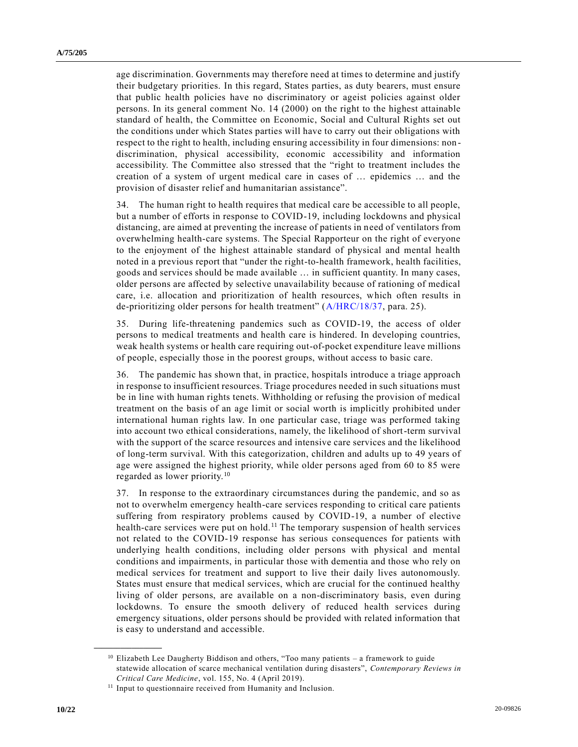age discrimination. Governments may therefore need at times to determine and justify their budgetary priorities. In this regard, States parties, as duty bearers, must ensure that public health policies have no discriminatory or ageist policies against older persons. In its general comment No. 14 (2000) on the right to the highest attainable standard of health, the Committee on Economic, Social and Cultural Rights set out the conditions under which States parties will have to carry out their obligations with respect to the right to health, including ensuring accessibility in four dimensions: non discrimination, physical accessibility, economic accessibility and information accessibility. The Committee also stressed that the "right to treatment includes the creation of a system of urgent medical care in cases of … epidemics … and the provision of disaster relief and humanitarian assistance".

34. The human right to health requires that medical care be accessible to all people, but a number of efforts in response to COVID-19, including lockdowns and physical distancing, are aimed at preventing the increase of patients in need of ventilators from overwhelming health-care systems. The Special Rapporteur on the right of everyone to the enjoyment of the highest attainable standard of physical and mental health noted in a previous report that "under the right-to-health framework, health facilities, goods and services should be made available … in sufficient quantity. In many cases, older persons are affected by selective unavailability because of rationing of medical care, i.e. allocation and prioritization of health resources, which often results in de-prioritizing older persons for health treatment" [\(A/HRC/18/37,](https://undocs.org/en/A/HRC/18/37) para. 25).

35. During life-threatening pandemics such as COVID-19, the access of older persons to medical treatments and health care is hindered. In developing countries, weak health systems or health care requiring out-of-pocket expenditure leave millions of people, especially those in the poorest groups, without access to basic care.

36. The pandemic has shown that, in practice, hospitals introduce a triage approach in response to insufficient resources. Triage procedures needed in such situations must be in line with human rights tenets. Withholding or refusing the provision of medical treatment on the basis of an age limit or social worth is implicitly prohibited under international human rights law. In one particular case, triage was performed taking into account two ethical considerations, namely, the likelihood of short-term survival with the support of the scarce resources and intensive care services and the likelihood of long-term survival. With this categorization, children and adults up to 49 years of age were assigned the highest priority, while older persons aged from 60 to 85 were regarded as lower priority.<sup>10</sup>

37. In response to the extraordinary circumstances during the pandemic, and so as not to overwhelm emergency health-care services responding to critical care patients suffering from respiratory problems caused by COVID-19, a number of elective health-care services were put on hold.<sup>11</sup> The temporary suspension of health services not related to the COVID-19 response has serious consequences for patients with underlying health conditions, including older persons with physical and mental conditions and impairments, in particular those with dementia and those who rely on medical services for treatment and support to live their daily lives autonomously. States must ensure that medical services, which are crucial for the continued healthy living of older persons, are available on a non-discriminatory basis, even during lockdowns. To ensure the smooth delivery of reduced health services during emergency situations, older persons should be provided with related information that is easy to understand and accessible.

<sup>&</sup>lt;sup>10</sup> Elizabeth Lee Daugherty Biddison and others, "Too many patients - a framework to guide statewide allocation of scarce mechanical ventilation during disasters", *Contemporary Reviews in Critical Care Medicine*, vol. 155, No. 4 (April 2019).

<sup>&</sup>lt;sup>11</sup> Input to questionnaire received from Humanity and Inclusion.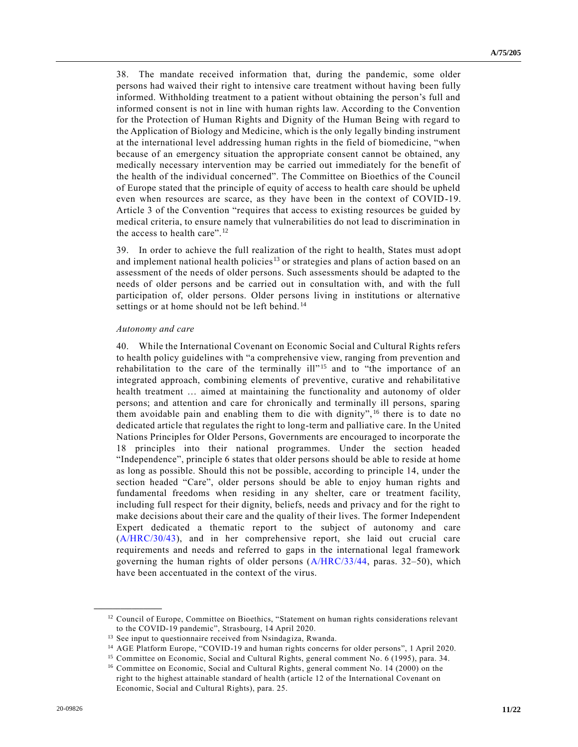38. The mandate received information that, during the pandemic, some older persons had waived their right to intensive care treatment without having been fully informed. Withholding treatment to a patient without obtaining the person's full and informed consent is not in line with human rights law. According to the Convention for the Protection of Human Rights and Dignity of the Human Being with regard to the Application of Biology and Medicine, which is the only legally binding instrument at the international level addressing human rights in the field of biomedicine, "when because of an emergency situation the appropriate consent cannot be obtained, any medically necessary intervention may be carried out immediately for the benefit of the health of the individual concerned". The Committee on Bioethics of the Council of Europe stated that the principle of equity of access to health care should be upheld even when resources are scarce, as they have been in the context of COVID-19. Article 3 of the Convention "requires that access to existing resources be guided by medical criteria, to ensure namely that vulnerabilities do not lead to discrimination in the access to health care".<sup>12</sup>

39. In order to achieve the full realization of the right to health, States must ad opt and implement national health policies<sup>13</sup> or strategies and plans of action based on an assessment of the needs of older persons. Such assessments should be adapted to the needs of older persons and be carried out in consultation with, and with the full participation of, older persons. Older persons living in institutions or alternative settings or at home should not be left behind.<sup>14</sup>

### *Autonomy and care*

40. While the International Covenant on Economic Social and Cultural Rights refers to health policy guidelines with "a comprehensive view, ranging from prevention and rehabilitation to the care of the terminally ill"<sup>15</sup> and to "the importance of an integrated approach, combining elements of preventive, curative and rehabilitative health treatment … aimed at maintaining the functionality and autonomy of older persons; and attention and care for chronically and terminally ill persons, sparing them avoidable pain and enabling them to die with dignity",<sup>16</sup> there is to date no dedicated article that regulates the right to long-term and palliative care. In the United Nations Principles for Older Persons, Governments are encouraged to incorporate the 18 principles into their national programmes. Under the section headed "Independence", principle 6 states that older persons should be able to reside at home as long as possible. Should this not be possible, according to principle 14, under the section headed "Care", older persons should be able to enjoy human rights and fundamental freedoms when residing in any shelter, care or treatment facility, including full respect for their dignity, beliefs, needs and privacy and for the right to make decisions about their care and the quality of their lives. The former Independent Expert dedicated a thematic report to the subject of autonomy and care [\(A/HRC/30/43\)](https://undocs.org/en/A/HRC/30/43), and in her comprehensive report, she laid out crucial care requirements and needs and referred to gaps in the international legal framework governing the human rights of older persons  $(A/HRC/33/44, \text{ paras. } 32-50)$  $(A/HRC/33/44, \text{ paras. } 32-50)$ , which have been accentuated in the context of the virus.

<sup>&</sup>lt;sup>12</sup> Council of Europe, Committee on Bioethics, "Statement on human rights considerations relevant to the COVID-19 pandemic", Strasbourg, 14 April 2020.

<sup>&</sup>lt;sup>13</sup> See input to questionnaire received from Nsindagiza, Rwanda.

<sup>14</sup> AGE Platform Europe, "COVID-19 and human rights concerns for older persons", 1 April 2020.

<sup>&</sup>lt;sup>15</sup> Committee on Economic, Social and Cultural Rights, general comment No. 6 (1995), para. 34.

<sup>&</sup>lt;sup>16</sup> Committee on Economic, Social and Cultural Rights, general comment No. 14 (2000) on the right to the highest attainable standard of health (article 12 of the International Covenant on Economic, Social and Cultural Rights), para. 25.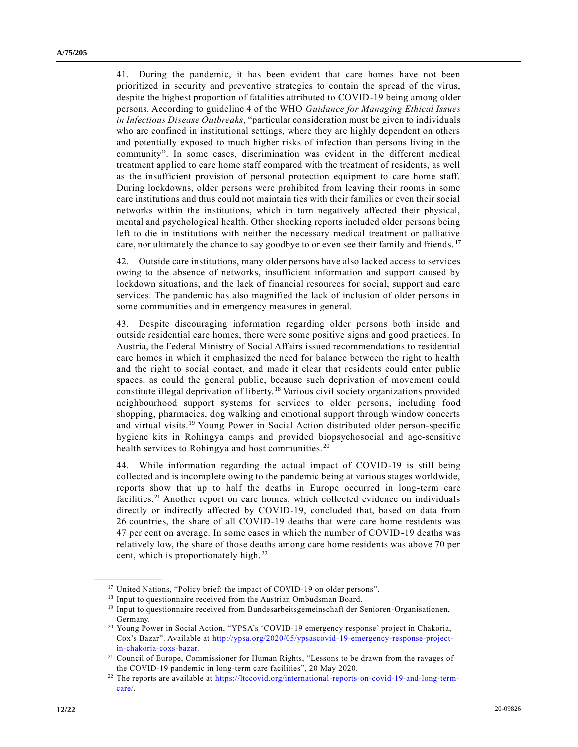41. During the pandemic, it has been evident that care homes have not been prioritized in security and preventive strategies to contain the spread of the virus, despite the highest proportion of fatalities attributed to COVID-19 being among older persons. According to guideline 4 of the WHO *Guidance for Managing Ethical Issues in Infectious Disease Outbreaks*, "particular consideration must be given to individuals who are confined in institutional settings, where they are highly dependent on others and potentially exposed to much higher risks of infection than persons living in the community". In some cases, discrimination was evident in the different medical treatment applied to care home staff compared with the treatment of residents, as well as the insufficient provision of personal protection equipment to care home staff. During lockdowns, older persons were prohibited from leaving their rooms in some care institutions and thus could not maintain ties with their families or even their social networks within the institutions, which in turn negatively affected their physical, mental and psychological health. Other shocking reports included older persons being left to die in institutions with neither the necessary medical treatment or palliative care, nor ultimately the chance to say goodbye to or even see their family and friends.<sup>17</sup>

42. Outside care institutions, many older persons have also lacked access to services owing to the absence of networks, insufficient information and support caused by lockdown situations, and the lack of financial resources for social, support and care services. The pandemic has also magnified the lack of inclusion of older persons in some communities and in emergency measures in general.

43. Despite discouraging information regarding older persons both inside and outside residential care homes, there were some positive signs and good practices. In Austria, the Federal Ministry of Social Affairs issued recommendations to residential care homes in which it emphasized the need for balance between the right to health and the right to social contact, and made it clear that residents could enter public spaces, as could the general public, because such deprivation of movement could constitute illegal deprivation of liberty. <sup>18</sup> Various civil society organizations provided neighbourhood support systems for services to older persons, including food shopping, pharmacies, dog walking and emotional support through window concerts and virtual visits.<sup>19</sup> Young Power in Social Action distributed older person-specific hygiene kits in Rohingya camps and provided biopsychosocial and age-sensitive health services to Rohingya and host communities.<sup>20</sup>

44. While information regarding the actual impact of COVID-19 is still being collected and is incomplete owing to the pandemic being at various stages worldwide, reports show that up to half the deaths in Europe occurred in long-term care facilities.<sup>21</sup> Another report on care homes, which collected evidence on individuals directly or indirectly affected by COVID-19, concluded that, based on data from 26 countries, the share of all COVID-19 deaths that were care home residents was 47 per cent on average. In some cases in which the number of COVID-19 deaths was relatively low, the share of those deaths among care home residents was above 70 per cent, which is proportionately high.<sup>22</sup>

<sup>&</sup>lt;sup>17</sup> United Nations, "Policy brief: the impact of COVID-19 on older persons".

<sup>&</sup>lt;sup>18</sup> Input to questionnaire received from the Austrian Ombudsman Board.

<sup>&</sup>lt;sup>19</sup> Input to questionnaire received from Bundesarbeitsgemeinschaft der Senioren-Organisationen, Germany.

<sup>20</sup> Young Power in Social Action, "YPSA's 'COVID-19 emergency response' project in Chakoria, Cox's Bazar". Available at [http://ypsa.org/2020/05/ypsascovid-19-emergency-response-project](http://ypsa.org/2020/05/ypsascovid-19-emergency-response-project-in-chakoria-coxs-bazar)[in-chakoria-coxs-bazar.](http://ypsa.org/2020/05/ypsascovid-19-emergency-response-project-in-chakoria-coxs-bazar)

<sup>21</sup> Council of Europe, Commissioner for Human Rights, "Lessons to be drawn from the ravages of the COVID-19 pandemic in long-term care facilities", 20 May 2020.

<sup>&</sup>lt;sup>22</sup> The reports are available at [https://ltccovid.org/international-reports-on-covid-19-and-long-term](https://ltccovid.org/international-reports-on-covid-19-and-long-term-care/)[care/.](https://ltccovid.org/international-reports-on-covid-19-and-long-term-care/)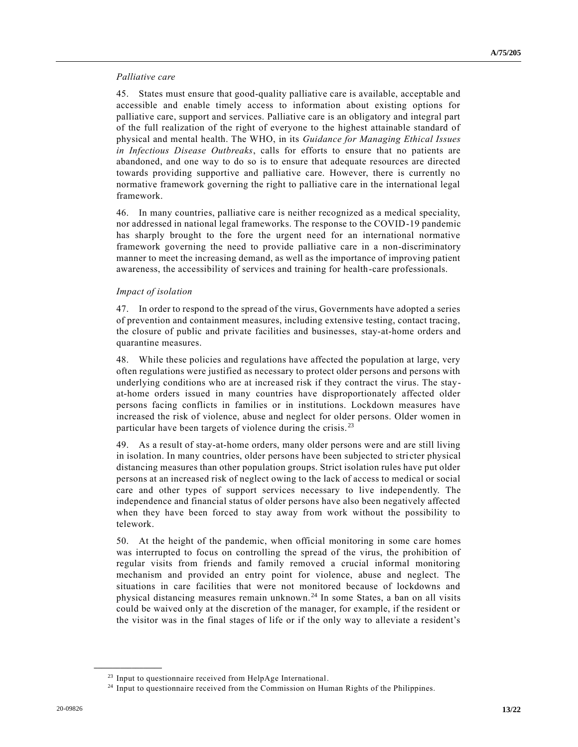## *Palliative care*

45. States must ensure that good-quality palliative care is available, acceptable and accessible and enable timely access to information about existing options for palliative care, support and services. Palliative care is an obligatory and integral part of the full realization of the right of everyone to the highest attainable standard of physical and mental health. The WHO, in its *Guidance for Managing Ethical Issues in Infectious Disease Outbreaks*, calls for efforts to ensure that no patients are abandoned, and one way to do so is to ensure that adequate resources are directed towards providing supportive and palliative care. However, there is currently no normative framework governing the right to palliative care in the international legal framework.

46. In many countries, palliative care is neither recognized as a medical speciality, nor addressed in national legal frameworks. The response to the COVID-19 pandemic has sharply brought to the fore the urgent need for an international normative framework governing the need to provide palliative care in a non-discriminatory manner to meet the increasing demand, as well as the importance of improving patient awareness, the accessibility of services and training for health-care professionals.

# *Impact of isolation*

47. In order to respond to the spread of the virus, Governments have adopted a series of prevention and containment measures, including extensive testing, contact tracing, the closure of public and private facilities and businesses, stay-at-home orders and quarantine measures.

48. While these policies and regulations have affected the population at large, very often regulations were justified as necessary to protect older persons and persons with underlying conditions who are at increased risk if they contract the virus. The stayat-home orders issued in many countries have disproportionately affected older persons facing conflicts in families or in institutions. Lockdown measures have increased the risk of violence, abuse and neglect for older persons. Older women in particular have been targets of violence during the crisis. <sup>23</sup>

49. As a result of stay-at-home orders, many older persons were and are still living in isolation. In many countries, older persons have been subjected to stricter physical distancing measures than other population groups. Strict isolation rules have put older persons at an increased risk of neglect owing to the lack of access to medical or social care and other types of support services necessary to live independently. The independence and financial status of older persons have also been negatively affected when they have been forced to stay away from work without the possibility to telework.

50. At the height of the pandemic, when official monitoring in some c are homes was interrupted to focus on controlling the spread of the virus, the prohibition of regular visits from friends and family removed a crucial informal monitoring mechanism and provided an entry point for violence, abuse and neglect. The situations in care facilities that were not monitored because of lockdowns and physical distancing measures remain unknown. <sup>24</sup> In some States, a ban on all visits could be waived only at the discretion of the manager, for example, if the resident or the visitor was in the final stages of life or if the only way to alleviate a resident's

<sup>&</sup>lt;sup>23</sup> Input to questionnaire received from HelpAge International.

<sup>&</sup>lt;sup>24</sup> Input to questionnaire received from the Commission on Human Rights of the Philippines.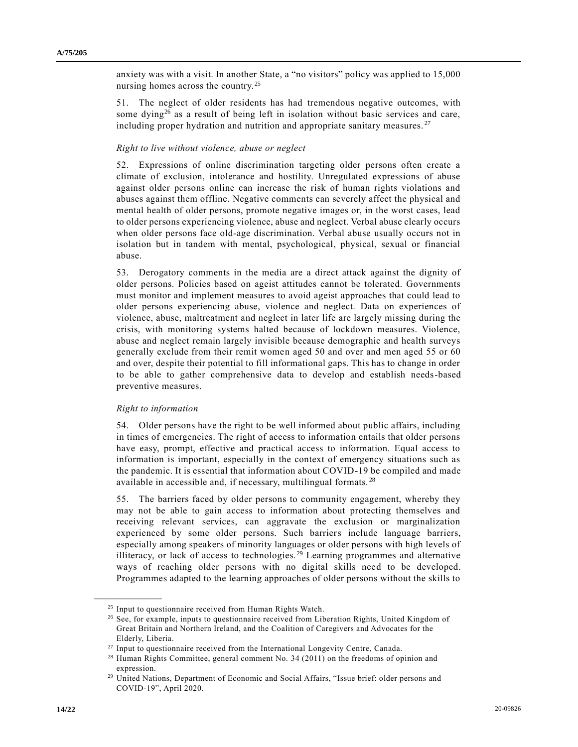anxiety was with a visit. In another State, a "no visitors" policy was applied to 15,000 nursing homes across the country.<sup>25</sup>

51. The neglect of older residents has had tremendous negative outcomes, with some dying<sup>26</sup> as a result of being left in isolation without basic services and care, including proper hydration and nutrition and appropriate sanitary measures.  $27$ 

### *Right to live without violence, abuse or neglect*

52. Expressions of online discrimination targeting older persons often create a climate of exclusion, intolerance and hostility. Unregulated expressions of abuse against older persons online can increase the risk of human rights violations and abuses against them offline. Negative comments can severely affect the physical and mental health of older persons, promote negative images or, in the worst cases, lead to older persons experiencing violence, abuse and neglect. Verbal abuse clearly occurs when older persons face old-age discrimination. Verbal abuse usually occurs not in isolation but in tandem with mental, psychological, physical, sexual or financial abuse.

53. Derogatory comments in the media are a direct attack against the dignity of older persons. Policies based on ageist attitudes cannot be tolerated. Governments must monitor and implement measures to avoid ageist approaches that could lead to older persons experiencing abuse, violence and neglect. Data on experiences of violence, abuse, maltreatment and neglect in later life are largely missing during the crisis, with monitoring systems halted because of lockdown measures. Violence, abuse and neglect remain largely invisible because demographic and health surveys generally exclude from their remit women aged 50 and over and men aged 55 or 60 and over, despite their potential to fill informational gaps. This has to change in order to be able to gather comprehensive data to develop and establish needs-based preventive measures.

### *Right to information*

**\_\_\_\_\_\_\_\_\_\_\_\_\_\_\_\_\_\_**

54. Older persons have the right to be well informed about public affairs, including in times of emergencies. The right of access to information entails that older persons have easy, prompt, effective and practical access to information. Equal access to information is important, especially in the context of emergency situations such as the pandemic. It is essential that information about COVID-19 be compiled and made available in accessible and, if necessary, multilingual formats. <sup>28</sup>

55. The barriers faced by older persons to community engagement, whereby they may not be able to gain access to information about protecting themselves and receiving relevant services, can aggravate the exclusion or marginalization experienced by some older persons. Such barriers include language barriers, especially among speakers of minority languages or older persons with high levels of illiteracy, or lack of access to technologies. <sup>29</sup> Learning programmes and alternative ways of reaching older persons with no digital skills need to be developed. Programmes adapted to the learning approaches of older persons without the skills to

<sup>&</sup>lt;sup>25</sup> Input to questionnaire received from Human Rights Watch.

<sup>&</sup>lt;sup>26</sup> See, for example, inputs to questionnaire received from Liberation Rights, United Kingdom of Great Britain and Northern Ireland, and the Coalition of Caregivers and Advocates for the Elderly, Liberia.

<sup>27</sup> Input to questionnaire received from the International Longevity Centre, Canada.

<sup>28</sup> Human Rights Committee, general comment No. 34 (2011) on the freedoms of opinion and expression.

<sup>29</sup> United Nations, Department of Economic and Social Affairs, "Issue brief: older persons and COVID-19", April 2020.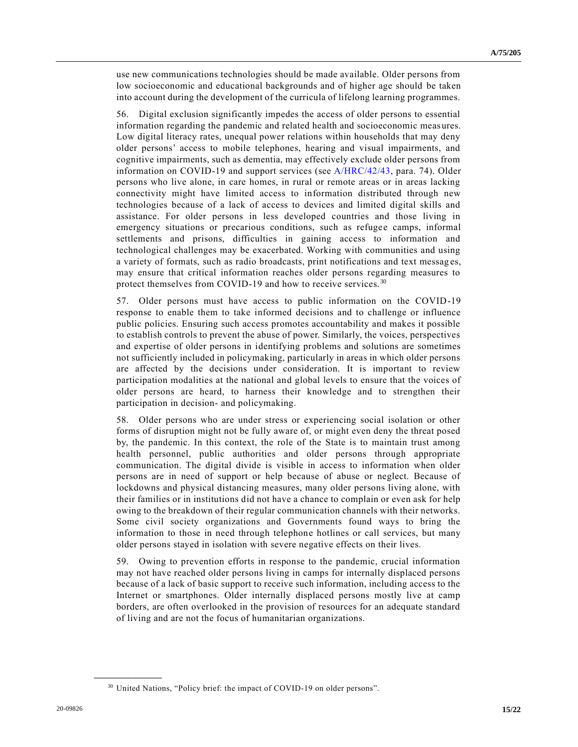use new communications technologies should be made available. Older persons from low socioeconomic and educational backgrounds and of higher age should be taken into account during the development of the curricula of lifelong learning programmes.

56. Digital exclusion significantly impedes the access of older persons to essential information regarding the pandemic and related health and socioeconomic measures. Low digital literacy rates, unequal power relations within households that may deny older persons' access to mobile telephones, hearing and visual impairments, and cognitive impairments, such as dementia, may effectively exclude older persons from information on COVID-19 and support services (see [A/HRC/42/43,](https://undocs.org/en/A/HRC/42/43) para. 74). Older persons who live alone, in care homes, in rural or remote areas or in areas lacking connectivity might have limited access to information distributed through new technologies because of a lack of access to devices and limited digital skills and assistance. For older persons in less developed countries and those living in emergency situations or precarious conditions, such as refugee camps, informal settlements and prisons, difficulties in gaining access to information and technological challenges may be exacerbated. Working with communities and using a variety of formats, such as radio broadcasts, print notifications and text messag es, may ensure that critical information reaches older persons regarding measures to protect themselves from COVID-19 and how to receive services.<sup>30</sup>

57. Older persons must have access to public information on the COVID-19 response to enable them to take informed decisions and to challenge or influence public policies. Ensuring such access promotes accountability and makes it possible to establish controls to prevent the abuse of power. Similarly, the voices, perspectives and expertise of older persons in identifying problems and solutions are sometimes not sufficiently included in policymaking, particularly in areas in which older persons are affected by the decisions under consideration. It is important to review participation modalities at the national and global levels to ensure that the voices of older persons are heard, to harness their knowledge and to strengthen their participation in decision- and policymaking.

58. Older persons who are under stress or experiencing social isolation or other forms of disruption might not be fully aware of, or might even deny the threat posed by, the pandemic. In this context, the role of the State is to maintain trust among health personnel, public authorities and older persons through appropriate communication. The digital divide is visible in access to information when older persons are in need of support or help because of abuse or neglect. Because of lockdowns and physical distancing measures, many older persons living alone, with their families or in institutions did not have a chance to complain or even ask for help owing to the breakdown of their regular communication channels with their networks. Some civil society organizations and Governments found ways to bring the information to those in need through telephone hotlines or call services, but many older persons stayed in isolation with severe negative effects on their lives.

59. Owing to prevention efforts in response to the pandemic, crucial information may not have reached older persons living in camps for internally displaced persons because of a lack of basic support to receive such information, including access to the Internet or smartphones. Older internally displaced persons mostly live at camp borders, are often overlooked in the provision of resources for an adequate standard of living and are not the focus of humanitarian organizations.

<sup>&</sup>lt;sup>30</sup> United Nations, "Policy brief: the impact of COVID-19 on older persons".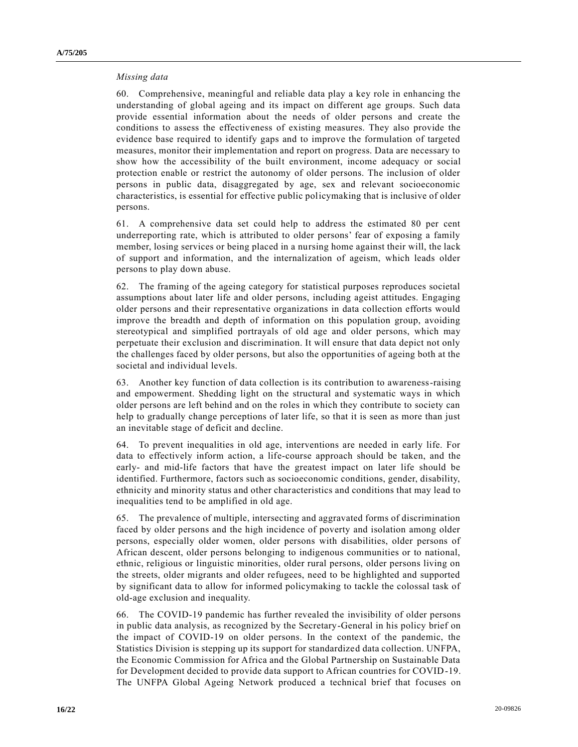## *Missing data*

60. Comprehensive, meaningful and reliable data play a key role in enhancing the understanding of global ageing and its impact on different age groups. Such data provide essential information about the needs of older persons and create the conditions to assess the effectiveness of existing measures. They also provide the evidence base required to identify gaps and to improve the formulation of targeted measures, monitor their implementation and report on progress. Data are necessary to show how the accessibility of the built environment, income adequacy or social protection enable or restrict the autonomy of older persons. The inclusion of older persons in public data, disaggregated by age, sex and relevant socioeconomic characteristics, is essential for effective public policymaking that is inclusive of older persons.

61. A comprehensive data set could help to address the estimated 80 per cent underreporting rate, which is attributed to older persons' fear of exposing a family member, losing services or being placed in a nursing home against their will, the lack of support and information, and the internalization of ageism, which leads older persons to play down abuse.

62. The framing of the ageing category for statistical purposes reproduces societal assumptions about later life and older persons, including ageist attitudes. Engaging older persons and their representative organizations in data collection efforts would improve the breadth and depth of information on this population group, avoiding stereotypical and simplified portrayals of old age and older persons, which may perpetuate their exclusion and discrimination. It will ensure that data depict not only the challenges faced by older persons, but also the opportunities of ageing both at the societal and individual levels.

63. Another key function of data collection is its contribution to awareness-raising and empowerment. Shedding light on the structural and systematic ways in which older persons are left behind and on the roles in which they contribute to society can help to gradually change perceptions of later life, so that it is seen as more than just an inevitable stage of deficit and decline.

64. To prevent inequalities in old age, interventions are needed in early life. For data to effectively inform action, a life-course approach should be taken, and the early- and mid-life factors that have the greatest impact on later life should be identified. Furthermore, factors such as socioeconomic conditions, gender, disability, ethnicity and minority status and other characteristics and conditions that may lead to inequalities tend to be amplified in old age.

65. The prevalence of multiple, intersecting and aggravated forms of discrimination faced by older persons and the high incidence of poverty and isolation among older persons, especially older women, older persons with disabilities, older persons of African descent, older persons belonging to indigenous communities or to national, ethnic, religious or linguistic minorities, older rural persons, older persons living on the streets, older migrants and older refugees, need to be highlighted and supported by significant data to allow for informed policymaking to tackle the colossal task of old-age exclusion and inequality.

66. The COVID-19 pandemic has further revealed the invisibility of older persons in public data analysis, as recognized by the Secretary-General in his policy brief on the impact of COVID-19 on older persons. In the context of the pandemic, the Statistics Division is stepping up its support for standardized data collection. UNFPA, the Economic Commission for Africa and the Global Partnership on Sustainable Data for Development decided to provide data support to African countries for COVID-19. The UNFPA Global Ageing Network produced a technical brief that focuses on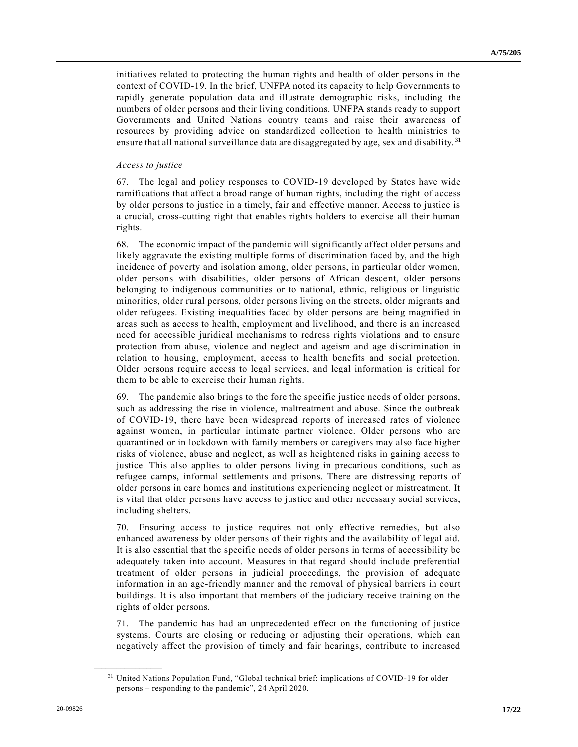initiatives related to protecting the human rights and health of older persons in the context of COVID-19. In the brief, UNFPA noted its capacity to help Governments to rapidly generate population data and illustrate demographic risks, including the numbers of older persons and their living conditions. UNFPA stands ready to support Governments and United Nations country teams and raise their awareness of resources by providing advice on standardized collection to health ministries to ensure that all national surveillance data are disaggregated by age, sex and disability. <sup>31</sup>

### *Access to justice*

67. The legal and policy responses to COVID-19 developed by States have wide ramifications that affect a broad range of human rights, including the right of access by older persons to justice in a timely, fair and effective manner. Access to justice is a crucial, cross-cutting right that enables rights holders to exercise all their human rights.

68. The economic impact of the pandemic will significantly affect older persons and likely aggravate the existing multiple forms of discrimination faced by, and the high incidence of poverty and isolation among, older persons, in particular older women, older persons with disabilities, older persons of African descent, older persons belonging to indigenous communities or to national, ethnic, religious or linguistic minorities, older rural persons, older persons living on the streets, older migrants and older refugees. Existing inequalities faced by older persons are being magnified in areas such as access to health, employment and livelihood, and there is an increased need for accessible juridical mechanisms to redress rights violations and to ensure protection from abuse, violence and neglect and ageism and age discrimination in relation to housing, employment, access to health benefits and social protection. Older persons require access to legal services, and legal information is critical for them to be able to exercise their human rights.

69. The pandemic also brings to the fore the specific justice needs of older persons, such as addressing the rise in violence, maltreatment and abuse. Since the outbreak of COVID-19, there have been widespread reports of increased rates of violence against women, in particular intimate partner violence. Older persons who are quarantined or in lockdown with family members or caregivers may also face higher risks of violence, abuse and neglect, as well as heightened risks in gaining access to justice. This also applies to older persons living in precarious conditions, such as refugee camps, informal settlements and prisons. There are distressing reports of older persons in care homes and institutions experiencing neglect or mistreatment. It is vital that older persons have access to justice and other necessary social services, including shelters.

70. Ensuring access to justice requires not only effective remedies, but also enhanced awareness by older persons of their rights and the availability of legal aid. It is also essential that the specific needs of older persons in terms of accessibility be adequately taken into account. Measures in that regard should include preferential treatment of older persons in judicial proceedings, the provision of adequate information in an age-friendly manner and the removal of physical barriers in court buildings. It is also important that members of the judiciary receive training on the rights of older persons.

71. The pandemic has had an unprecedented effect on the functioning of justice systems. Courts are closing or reducing or adjusting their operations, which can negatively affect the provision of timely and fair hearings, contribute to increased

<sup>&</sup>lt;sup>31</sup> United Nations Population Fund, "Global technical brief: implications of COVID-19 for older persons – responding to the pandemic", 24 April 2020.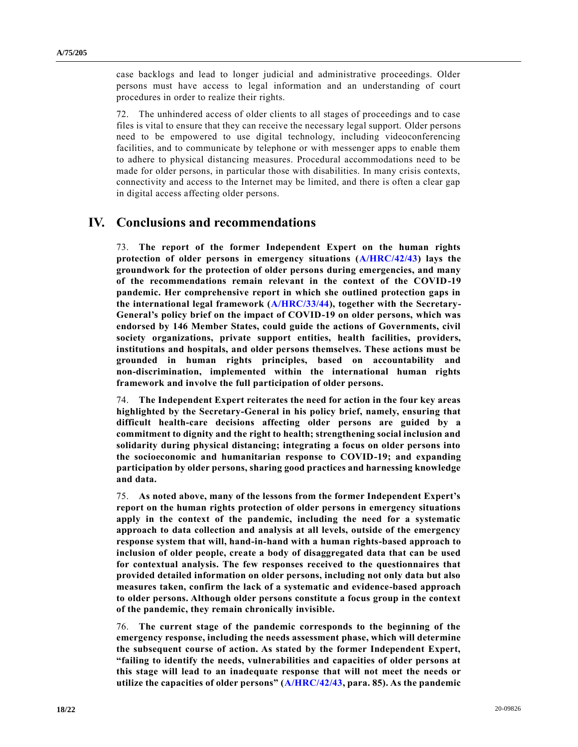case backlogs and lead to longer judicial and administrative proceedings. Older persons must have access to legal information and an understanding of court procedures in order to realize their rights.

72. The unhindered access of older clients to all stages of proceedings and to case files is vital to ensure that they can receive the necessary legal support. Older persons need to be empowered to use digital technology, including videoconferencing facilities, and to communicate by telephone or with messenger apps to enable them to adhere to physical distancing measures. Procedural accommodations need to be made for older persons, in particular those with disabilities. In many crisis contexts, connectivity and access to the Internet may be limited, and there is often a clear gap in digital access affecting older persons.

# **IV. Conclusions and recommendations**

73. **The report of the former Independent Expert on the human rights protection of older persons in emergency situations [\(A/HRC/42/43\)](https://undocs.org/en/A/HRC/42/43) lays the groundwork for the protection of older persons during emergencies, and many of the recommendations remain relevant in the context of the COVID-19 pandemic. Her comprehensive report in which she outlined protection gaps in the international legal framework [\(A/HRC/33/44\)](https://undocs.org/en/A/HRC/33/44), together with the Secretary-General's policy brief on the impact of COVID-19 on older persons, which was endorsed by 146 Member States, could guide the actions of Governments, civil society organizations, private support entities, health facilities, providers, institutions and hospitals, and older persons themselves. These actions must be grounded in human rights principles, based on accountability and non-discrimination, implemented within the international human rights framework and involve the full participation of older persons.**

74. **The Independent Expert reiterates the need for action in the four key areas highlighted by the Secretary-General in his policy brief, namely, ensuring that difficult health-care decisions affecting older persons are guided by a commitment to dignity and the right to health; strengthening social inclusion and solidarity during physical distancing; integrating a focus on older persons into the socioeconomic and humanitarian response to COVID-19; and expanding participation by older persons, sharing good practices and harnessing knowledge and data.**

75. **As noted above, many of the lessons from the former Independent Expert's report on the human rights protection of older persons in emergency situations apply in the context of the pandemic, including the need for a systematic approach to data collection and analysis at all levels, outside of the emergency response system that will, hand-in-hand with a human rights-based approach to inclusion of older people, create a body of disaggregated data that can be used for contextual analysis. The few responses received to the questionnaires that provided detailed information on older persons, including not only data but also measures taken, confirm the lack of a systematic and evidence-based approach to older persons. Although older persons constitute a focus group in the context of the pandemic, they remain chronically invisible.**

76. **The current stage of the pandemic corresponds to the beginning of the emergency response, including the needs assessment phase, which will determine the subsequent course of action. As stated by the former Independent Expert, "failing to identify the needs, vulnerabilities and capacities of older persons at this stage will lead to an inadequate response that will not meet the needs or utilize the capacities of older persons" [\(A/HRC/42/43,](https://undocs.org/en/A/HRC/42/43) para. 85). As the pandemic**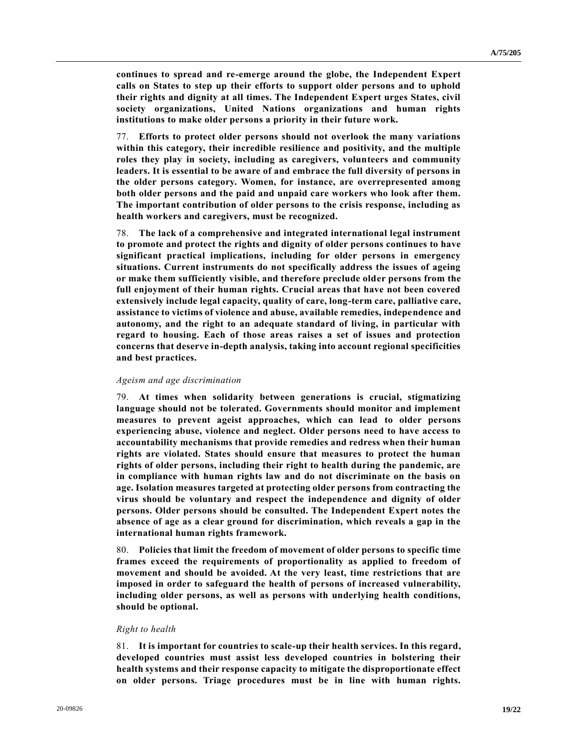**continues to spread and re-emerge around the globe, the Independent Expert calls on States to step up their efforts to support older persons and to uphold their rights and dignity at all times. The Independent Expert urges States, civil society organizations, United Nations organizations and human rights institutions to make older persons a priority in their future work.**

77. **Efforts to protect older persons should not overlook the many variations within this category, their incredible resilience and positivity, and the multiple roles they play in society, including as caregivers, volunteers and community leaders. It is essential to be aware of and embrace the full diversity of persons in the older persons category. Women, for instance, are overrepresented among both older persons and the paid and unpaid care workers who look after them. The important contribution of older persons to the crisis response, including as health workers and caregivers, must be recognized.**

78. **The lack of a comprehensive and integrated international legal instrument to promote and protect the rights and dignity of older persons continues to have significant practical implications, including for older persons in emergency situations. Current instruments do not specifically address the issues of ageing or make them sufficiently visible, and therefore preclude older persons from the full enjoyment of their human rights. Crucial areas that have not been covered extensively include legal capacity, quality of care, long-term care, palliative care, assistance to victims of violence and abuse, available remedies, independence and autonomy, and the right to an adequate standard of living, in particular with regard to housing. Each of those areas raises a set of issues and protection concerns that deserve in-depth analysis, taking into account regional specificities and best practices.** 

#### *Ageism and age discrimination*

79. **At times when solidarity between generations is crucial, stigmatizing language should not be tolerated. Governments should monitor and implement measures to prevent ageist approaches, which can lead to older persons experiencing abuse, violence and neglect. Older persons need to have access to accountability mechanisms that provide remedies and redress when their human rights are violated. States should ensure that measures to protect the human rights of older persons, including their right to health during the pandemic, are in compliance with human rights law and do not discriminate on the basis on age. Isolation measures targeted at protecting older persons from contracting the virus should be voluntary and respect the independence and dignity of older persons. Older persons should be consulted. The Independent Expert notes the absence of age as a clear ground for discrimination, which reveals a gap in the international human rights framework.**

80. **Policies that limit the freedom of movement of older persons to specific time frames exceed the requirements of proportionality as applied to freedom of movement and should be avoided. At the very least, time restrictions that are imposed in order to safeguard the health of persons of increased vulnerability, including older persons, as well as persons with underlying health conditions, should be optional.**

#### *Right to health*

81. **It is important for countries to scale-up their health services. In this regard, developed countries must assist less developed countries in bolstering their health systems and their response capacity to mitigate the disproportionate effect on older persons. Triage procedures must be in line with human rights.**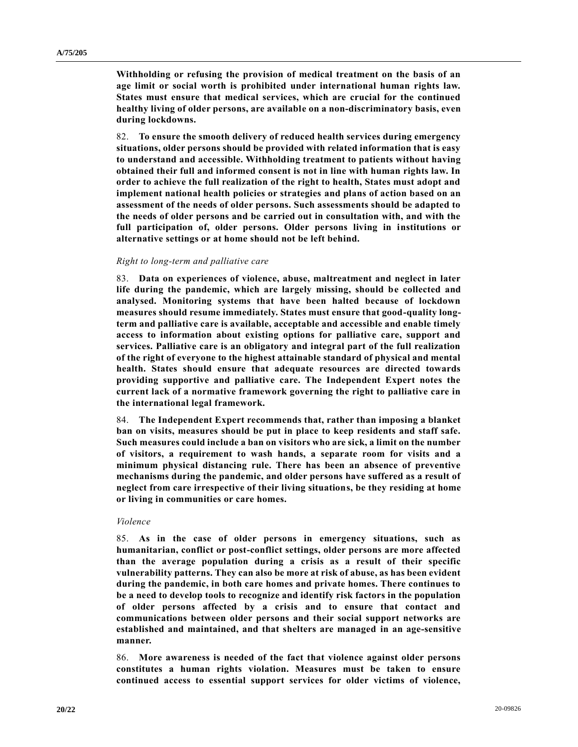**Withholding or refusing the provision of medical treatment on the basis of an age limit or social worth is prohibited under international human rights law. States must ensure that medical services, which are crucial for the continued healthy living of older persons, are available on a non-discriminatory basis, even during lockdowns.**

82. **To ensure the smooth delivery of reduced health services during emergency situations, older persons should be provided with related information that is easy to understand and accessible. Withholding treatment to patients without having obtained their full and informed consent is not in line with human rights law. In order to achieve the full realization of the right to health, States must adopt and implement national health policies or strategies and plans of action based on an assessment of the needs of older persons. Such assessments should be adapted to the needs of older persons and be carried out in consultation with, and with the full participation of, older persons. Older persons living in institutions or alternative settings or at home should not be left behind.**

#### *Right to long-term and palliative care*

83. **Data on experiences of violence, abuse, maltreatment and neglect in later life during the pandemic, which are largely missing, should be collected and analysed. Monitoring systems that have been halted because of lockdown measures should resume immediately. States must ensure that good-quality longterm and palliative care is available, acceptable and accessible and enable timely access to information about existing options for palliative care, support and services. Palliative care is an obligatory and integral part of the full realization of the right of everyone to the highest attainable standard of physical and mental health. States should ensure that adequate resources are directed towards providing supportive and palliative care. The Independent Expert notes the current lack of a normative framework governing the right to palliative care in the international legal framework.**

84. **The Independent Expert recommends that, rather than imposing a blanket ban on visits, measures should be put in place to keep residents and staff safe. Such measures could include a ban on visitors who are sick, a limit on the number of visitors, a requirement to wash hands, a separate room for visits and a minimum physical distancing rule. There has been an absence of preventive mechanisms during the pandemic, and older persons have suffered as a result of neglect from care irrespective of their living situations, be they residing at home or living in communities or care homes.**

## *Violence*

85. **As in the case of older persons in emergency situations, such as humanitarian, conflict or post-conflict settings, older persons are more affected than the average population during a crisis as a result of their specific vulnerability patterns. They can also be more at risk of abuse, as has been evident during the pandemic, in both care homes and private homes. There continues to be a need to develop tools to recognize and identify risk factors in the population of older persons affected by a crisis and to ensure that contact and communications between older persons and their social support networks are established and maintained, and that shelters are managed in an age-sensitive manner.**

86. **More awareness is needed of the fact that violence against older persons constitutes a human rights violation. Measures must be taken to ensure continued access to essential support services for older victims of violence,**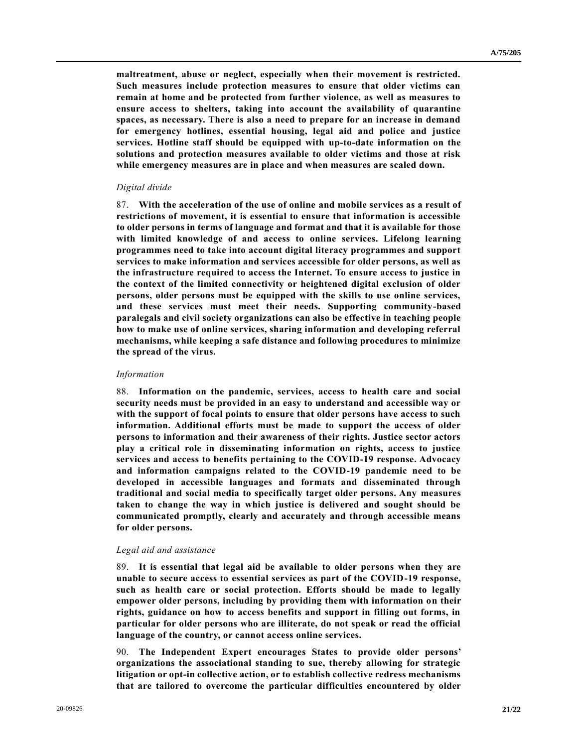**maltreatment, abuse or neglect, especially when their movement is restricted. Such measures include protection measures to ensure that older victims can remain at home and be protected from further violence, as well as measures to ensure access to shelters, taking into account the availability of quarantine spaces, as necessary. There is also a need to prepare for an increase in demand for emergency hotlines, essential housing, legal aid and police and justice services. Hotline staff should be equipped with up-to-date information on the solutions and protection measures available to older victims and those at risk while emergency measures are in place and when measures are scaled down.**

### *Digital divide*

87. **With the acceleration of the use of online and mobile services as a result of restrictions of movement, it is essential to ensure that information is accessible to older persons in terms of language and format and that it is available for those with limited knowledge of and access to online services. Lifelong learning programmes need to take into account digital literacy programmes and support services to make information and services accessible for older persons, as well as the infrastructure required to access the Internet. To ensure access to justice in the context of the limited connectivity or heightened digital exclusion of older persons, older persons must be equipped with the skills to use online services, and these services must meet their needs. Supporting community-based paralegals and civil society organizations can also be effective in teaching people how to make use of online services, sharing information and developing referral mechanisms, while keeping a safe distance and following procedures to minimize the spread of the virus.**

#### *Information*

88. **Information on the pandemic, services, access to health care and social security needs must be provided in an easy to understand and accessible way or with the support of focal points to ensure that older persons have access to such information. Additional efforts must be made to support the access of older persons to information and their awareness of their rights. Justice sector actors play a critical role in disseminating information on rights, access to justice services and access to benefits pertaining to the COVID-19 response. Advocacy and information campaigns related to the COVID-19 pandemic need to be developed in accessible languages and formats and disseminated through traditional and social media to specifically target older persons. Any measures taken to change the way in which justice is delivered and sought should be communicated promptly, clearly and accurately and through accessible means for older persons.**

#### *Legal aid and assistance*

89. **It is essential that legal aid be available to older persons when they are unable to secure access to essential services as part of the COVID-19 response, such as health care or social protection. Efforts should be made to legally empower older persons, including by providing them with information on their rights, guidance on how to access benefits and support in filling out forms, in particular for older persons who are illiterate, do not speak or read the official language of the country, or cannot access online services.**

90. **The Independent Expert encourages States to provide older persons' organizations the associational standing to sue, thereby allowing for strategic litigation or opt-in collective action, or to establish collective redress mechanisms that are tailored to overcome the particular difficulties encountered by older**